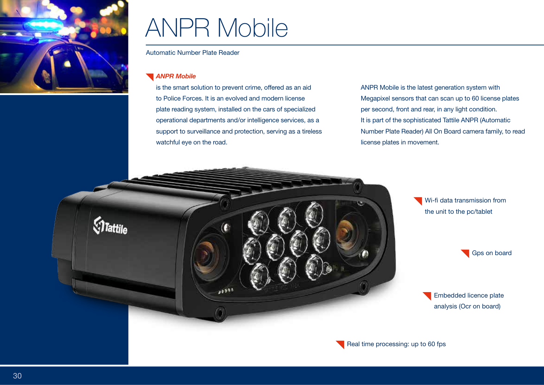

**Mattile** 

# ANPR Mobile

Automatic Number Plate Reader

#### *ANPR Mobile*

is the smart solution to prevent crime, offered as an aid to Police Forces. It is an evolved and modern license plate reading system, installed on the cars of specialized operational departments and/or intelligence services, as a support to surveillance and protection, serving as a tireless watchful eye on the road.

 $23333$ 

ANPR Mobile is the latest generation system with Megapixel sensors that can scan up to 60 license plates per second, front and rear, in any light condition. It is part of the sophisticated Tattile ANPR (Automatic Number Plate Reader) All On Board camera family, to read license plates in movement.

> Wi-fi data transmission from the unit to the pc/tablet

Embedded licence plate analysis (Ocr on board)